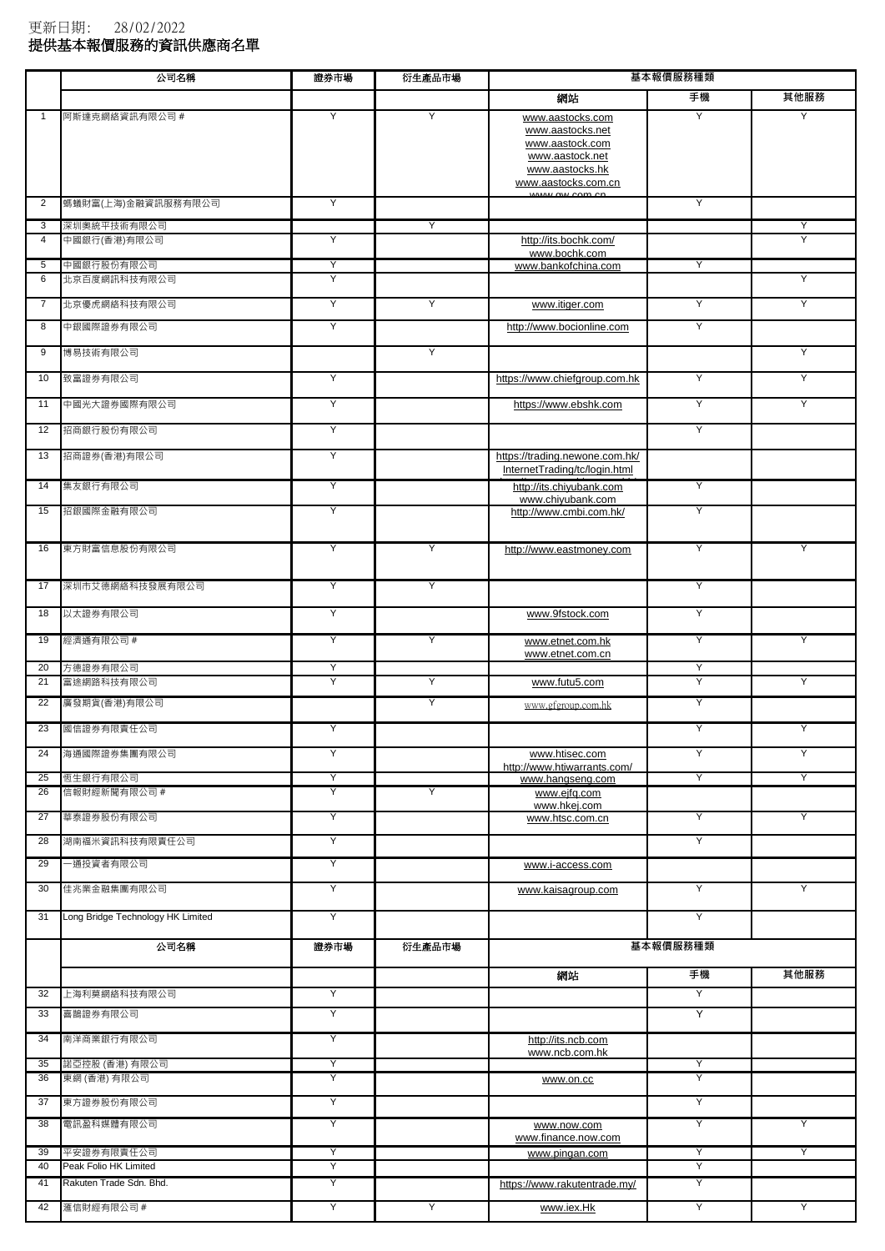|                | 公司名稱                                | 證券市場   | 衍生產品市場 |                                                                                                                                       | 基本報價服務種類 |      |
|----------------|-------------------------------------|--------|--------|---------------------------------------------------------------------------------------------------------------------------------------|----------|------|
|                |                                     |        |        | 網站                                                                                                                                    | 手機       | 其他服務 |
| 1              | 阿斯達克網絡資訊有限公司 #                      | Υ      | Y      | www.aastocks.com<br>www.aastocks.net<br>www.aastock.com<br>www.aastock.net<br>www.aastocks.hk<br>www.aastocks.com.cn<br>$\frac{1}{2}$ | Y        | Y    |
| $\overline{2}$ | 螞蟻財富(上海)金融資訊服務有限公司                  | Υ      |        |                                                                                                                                       | Υ        |      |
| 3              | 深圳奥統平技術有限公司                         |        | Y      |                                                                                                                                       |          | Υ    |
| $\overline{4}$ | 中國銀行(香港)有限公司                        | Y      |        | http://its.bochk.com/<br>www.bochk.com                                                                                                |          | Υ    |
| 5<br>6         | 中國銀行股份有限公司<br>北京百度網訊科技有限公司          | Υ<br>Y |        | www.bankofchina.com                                                                                                                   | Υ        | Y    |
| $\overline{7}$ | 北京優虎網絡科技有限公司                        | Υ      | Y      | www.itiger.com                                                                                                                        | Υ        | Υ    |
| 8              | 中銀國際證券有限公司                          | Υ      |        | http://www.bocionline.com                                                                                                             | Y        |      |
| 9              | 博易技術有限公司                            |        | Υ      |                                                                                                                                       |          | Υ    |
| 10             | 致富證券有限公司                            | Υ      |        | https://www.chiefgroup.com.hk                                                                                                         | Υ        | Υ    |
|                |                                     |        |        |                                                                                                                                       |          |      |
| 11             | 中國光大證券國際有限公司                        | Υ      |        | https://www.ebshk.com                                                                                                                 | Y        | Υ    |
| 12             | 招商銀行股份有限公司                          | Υ      |        |                                                                                                                                       | Υ        |      |
| 13             | 招商證券(香港)有限公司                        | Υ      |        | https://trading.newone.com.hk/<br>InternetTrading/tc/login.html                                                                       |          |      |
| 14             | 集友銀行有限公司                            | Υ      |        | http://its.chiyubank.com                                                                                                              | Υ        |      |
| 15             | 招銀國際金融有限公司                          | Υ      |        | www.chivubank.com<br>http://www.cmbi.com.hk/                                                                                          | Υ        |      |
| 16             | 東方財富信息股份有限公司                        | Y      | Y      | http://www.eastmoney.com                                                                                                              | Y        | Y    |
| 17             | 深圳市艾德網絡科技發展有限公司                     | Υ      | Y      |                                                                                                                                       | Υ        |      |
| 18             | 以太證券有限公司                            | Υ      |        | www.9fstock.com                                                                                                                       | Υ        |      |
| 19             | 經濟通有限公司 #                           | Y      | Y      | www.etnet.com.hk<br>www.etnet.com.cn                                                                                                  | Y        | Y    |
| 20<br>21       | 方德證券有限公司<br>富途網路科技有限公司              | Y<br>Y | Y      | www.futu5.com                                                                                                                         | Υ<br>Υ   | Υ    |
| 22             | 廣發期貨(香港)有限公司                        |        | Υ      | www.gfgroup.com.hk                                                                                                                    | Υ        |      |
| 23             | 國信證券有限責任公司                          |        |        |                                                                                                                                       | Υ        |      |
| 24             | 海通國際證券集團有限公司                        | Υ      |        | www.htisec.com                                                                                                                        | Υ        | Y    |
| 25             | 恆生銀行有限公司                            | Υ      |        | http://www.htiwarrants.com/<br>www.hangseng.com                                                                                       | Υ        | Υ    |
| 26             | 信報財經新聞有限公司 #                        | Y      | Y      | www.ejfg.com<br>www.hkej.com                                                                                                          |          |      |
| 27             | 華泰證券股份有限公司                          | Y      |        | www.htsc.com.cn                                                                                                                       | Y        | Υ    |
| 28             | 湖南福米資訊科技有限責任公司                      | Y      |        |                                                                                                                                       | Y        |      |
| 29             | 一通投資者有限公司                           | Υ      |        | www.i-access.com                                                                                                                      |          |      |
| 30             | 佳兆業金融集團有限公司                         | Y      |        | www.kaisagroup.com                                                                                                                    | Y        | Υ    |
| 31             | Long Bridge Technology HK Limited   | Y      |        |                                                                                                                                       | Υ        |      |
|                | 公司名稱                                | 證券市場   | 衍生產品市場 |                                                                                                                                       | 基本報價服務種類 |      |
|                |                                     |        |        | 網站                                                                                                                                    | 手機       | 其他服務 |
| 32             | 上海利莫網絡科技有限公司                        | Y      |        |                                                                                                                                       | Y        |      |
| 33             | 喜鵲證券有限公司                            | Y      |        |                                                                                                                                       | Y        |      |
| 34             | 南洋商業銀行有限公司                          | Y      |        | http://its.ncb.com<br>www.ncb.com.hk                                                                                                  |          |      |
| 35             | 諾亞控股 (香港) 有限公司                      | Υ      |        |                                                                                                                                       | Υ        |      |
| 36             | 東網 (香港) 有限公司                        | Υ      |        | www.on.cc                                                                                                                             | Υ        |      |
| 37<br>38       | 東方證券股份有限公司<br>電訊盈科媒體有限公司            | Y<br>Υ |        |                                                                                                                                       | Y<br>Υ   | Y    |
|                |                                     |        |        | www.now.com<br>www.finance.now.com                                                                                                    |          |      |
| 39<br>40       | 平安證券有限責任公司<br>Peak Folio HK Limited | Υ<br>Υ |        | www.pingan.com                                                                                                                        | Y<br>Υ   | Υ    |
| 41             | Rakuten Trade Sdn. Bhd.             | Υ      |        | https://www.rakutentrade.my/                                                                                                          | Υ        |      |
| 42             | 滙信財經有限公司 #                          | Υ      | Y      | www.iex.Hk                                                                                                                            | Υ        | Υ    |

更新日期: 28/02/2022

<sub>会研究所:</sub><br>提供基本報價服務的資訊供應商名單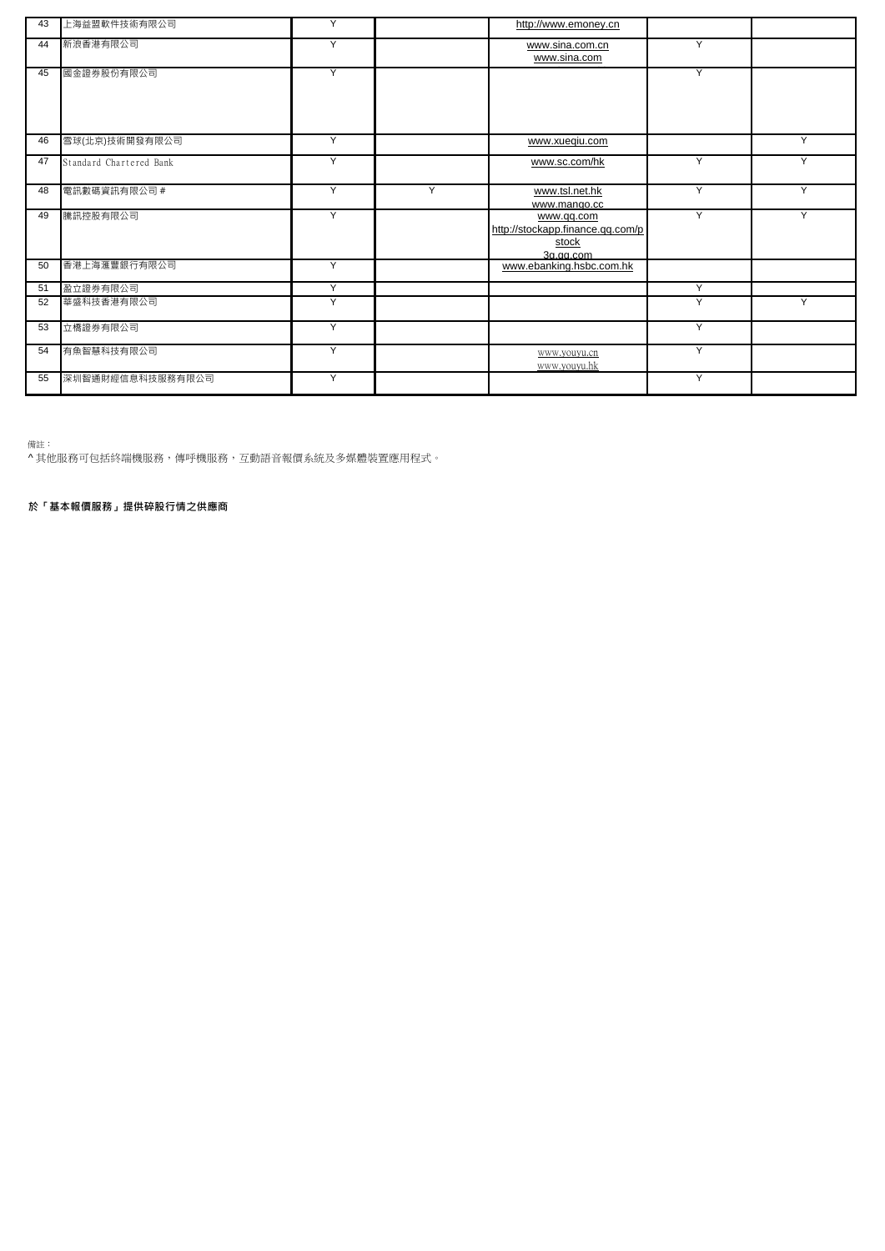| 43 | 上海益盟軟件技術有限公司            | Y |   | http://www.emoney.cn                                                   |                |   |
|----|-------------------------|---|---|------------------------------------------------------------------------|----------------|---|
| 44 | 新浪香港有限公司                | Y |   | www.sina.com.cn<br>www.sina.com                                        | Y              |   |
| 45 | 國金證券股份有限公司              | Y |   |                                                                        | $\overline{Y}$ |   |
| 46 | 雪球(北京)技術開發有限公司          | Y |   | www.xueqiu.com                                                         |                | Y |
| 47 | Standard Chartered Bank | Y |   | www.sc.com/hk                                                          | Y              | v |
| 48 | 電訊數碼資訊有限公司 #            | Y | Υ | www.tsl.net.hk<br>www.mango.cc                                         | Υ              | Y |
| 49 | 騰訊控股有限公司                | Y |   | www.qq.com<br>http://stockapp.finance.qq.com/p<br>stock<br>$3a$ ag com | Y              | Y |
| 50 | 香港上海滙豐銀行有限公司            | Y |   | www.ebanking.hsbc.com.hk                                               |                |   |
| 51 | 盈立證券有限公司                | Y |   |                                                                        | Y              |   |
| 52 | 華盛科技香港有限公司              | Y |   |                                                                        | Υ              | Υ |
| 53 | 立橋證券有限公司                | Y |   |                                                                        | Y              |   |
| 54 | 有魚智慧科技有限公司              | Y |   | www.youyu.cn<br>www.youvu.hk                                           | Y              |   |
| 55 | 深圳智通財經信息科技服務有限公司        | Y |   |                                                                        | Y              |   |

備註:

^ 其他服務可包括終端機服務,傳呼機服務,互動語音報價系統及多媒體裝置應用程式。

**於「基本報價服務」提供碎股行情之供應商**